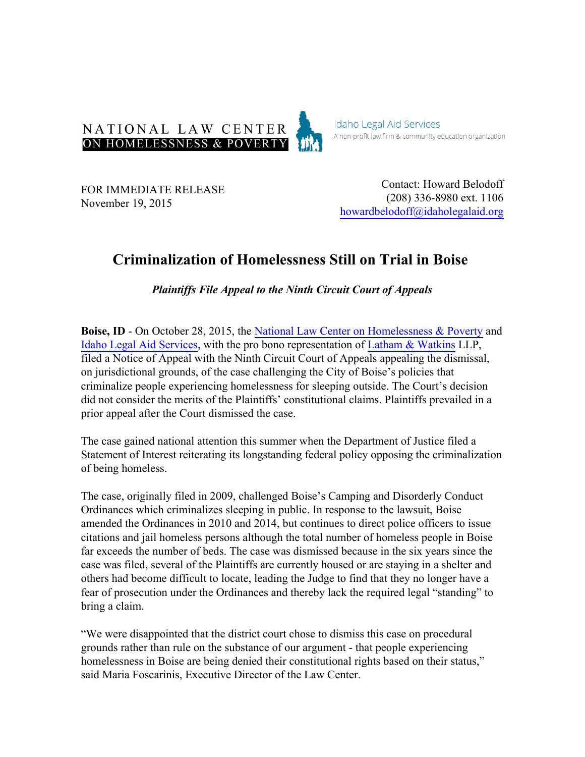

**Idaho Legal Aid Services** A non-profit law firm & community education organization

FOR IMMEDIATE RELEASE November 19, 2015

Contact: Howard Belodoff (208) 336-8980 ext. 1106 howardbelodoff@idaholegalaid.org

## **Criminalization of Homelessness Still on Trial in Boise**

*Plaintiffs File Appeal to the Ninth Circuit Court of Appeals*

**Boise, ID** - On October 28, 2015, the [National Law Center on Homelessness & Poverty](http://nlchp.org) and [Idaho Legal Aid Services](http://www.idaholegalaid.org/), with the pro bono representation of [Latham & Watkins](http://lw.com/) LLP, filed a Notice of Appeal with the Ninth Circuit Court of Appeals appealing the dismissal, on jurisdictional grounds, of the case challenging the City of Boise's policies that criminalize people experiencing homelessness for sleeping outside. The Court's decision did not consider the merits of the Plaintiffs' constitutional claims. Plaintiffs prevailed in a prior appeal after the Court dismissed the case.

The case gained national attention this summer when the Department of Justice filed a Statement of Interest reiterating its longstanding federal policy opposing the criminalization of being homeless.

The case, originally filed in 2009, challenged Boise's Camping and Disorderly Conduct Ordinances which criminalizes sleeping in public. In response to the lawsuit, Boise amended the Ordinances in 2010 and 2014, but continues to direct police officers to issue citations and jail homeless persons although the total number of homeless people in Boise far exceeds the number of beds. The case was dismissed because in the six years since the case was filed, several of the Plaintiffs are currently housed or are staying in a shelter and others had become difficult to locate, leading the Judge to find that they no longer have a fear of prosecution under the Ordinances and thereby lack the required legal "standing" to bring a claim.

"We were disappointed that the district court chose to dismiss this case on procedural grounds rather than rule on the substance of our argument - that people experiencing homelessness in Boise are being denied their constitutional rights based on their status," said Maria Foscarinis, Executive Director of the Law Center.